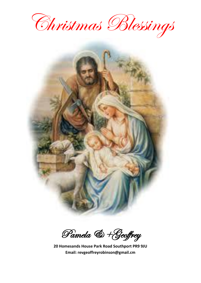



Pamela & +Geoffrey

**20 Homesands House Park Road Southport PR9 9JU Email: revgeoffreyrobinson@gmail.cm**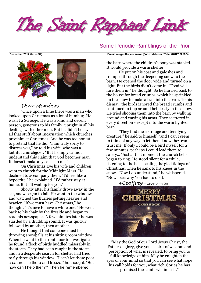

# Some Periodic Ramblings of the Prior



# *Dear Members*

"Once upon a time there was a man who looked upon Christmas as a lot of humbug. He wasn't a Scrooge. He was a kind and decent person, generous to his family, upright in all his dealings with other men. But he didn't believe all that stuff about Incarnation which churches proclaim at Christmas. And he was too honest to pretend that he did. "I am truly sorry to distress you," he told his wife, who was a faithful churchgoer. "But I simply cannot understand this claim that God becomes man. It doesn't make any sense to me."

On Christmas Eve his wife and children went to church for the Midnight Mass. He declined to accompany them. "I'd feel like a hypocrite," he explained. "I'd rather stay at home. But I'll wait up for you."

Shortly after his family drove away in the car, snow began to fall. He went to the window and watched the flurries getting heavier and heavier. "If we must have Christmas," he thought, "it's nice to have a white one." He went back to his chair by the fireside and began to read his newspaper. A few minutes later he was startled by a thudding sound. It was quickly followed by another, then another.

He thought that someone must be throwing snowballs at his sitting room window. When he went to the front door to investigate, he found a flock of birds huddled miserably in the storm. They had been caught in the storm and in a desperate search for shelter had tried to fly through his window. "I can't let these poor creatures lie there and freeze," he thought. "But how can I help them?" Then he remembered

**December 2017** (Issue 31) **Email: [revgeoffreyrobinson@ntlworld.com](mailto:revgeoffreyrobinson@ntlworld.com) / Tele: 07817 825624**

the barn where the children's pony was stabled. It would provide a warm shelter.

He put on his coat and galoshes and tramped through the deepening snow to the barn. He opened the door wide and turned on a light. But the birds didn't come in. "Food will lure them in," he thought. So he hurried back to the house for bread crumbs, which he sprinkled on the snow to make a trail into the barn. To his dismay, the birds ignored the bread crumbs and continued to flop around helplessly in the snow. He tried shooing them into the barn by walking around and waving his arms. They scattered in every direction - except into the warm lighted barn.

"They find me a strange and terrifying creature," he said to himself, "and I can't seem to think of any way to let them know they can trust me. If only I could be a bird myself for a few minutes, perhaps I could lead them to safety…"Just at that moment the church bells began to ring. He stood silent for a while, listening to the bells pealing the glad tidings of Christmas. Then he sank to his knees in the snow. "Now I do understand," he whispered. "Now I see why You had to do it.

*+Geoffrey* – GRAND PRIOR



"May the God of our Lord Jesus Christ, the Father of glory, give you a spirit of wisdom and perception of what is revealed, to bring you to full knowledge of him. May he enlighten the eyes of your mind so that you can see what hope his call holds for you, what rich glories he has promised the saints will inherit."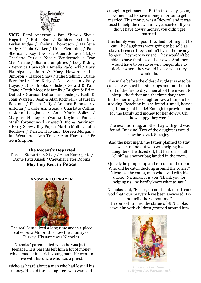

**SICK:** Beryl Anderton / Paul Shaw / Sheila Hogarth / Ruth Barr / Kathleen Roberts / Lesley Fudge / Thelma Thompson / Marlene Addy / Tania Walker / Lidia Flemming / Paul Sheridan / Roy Howard / Albert Jones / (Baby) Charlotte Park / Nicole Vendettuoli / Ivor MacFarlane / Shaun Humphries / Lucy Riding **/** Veronica Hawcroft / Amelia Radomski / Mary Flannigan / John & Mary Howard / Ida Simpson / Clarice Shaw / Julie Stelling / Diane Beresford / Tony Kirby / Delia Serman / Sally Hayes / Nick Brooks / Bishop Gerard & Pam Crane / Ruth Moody & family / Brigitte & Brian Duffett / Norman Dutton, archbishop / Keith & Joan Warren / Jean & Alan Rothwell / Maureen Bohanna / Eileen Duffy / Amanda Bannister / Antonia / Carole Armistead / Charlotte Collins / John Langham / Anne-Marie Solley / Marjorie Hooley / Yvonne Doyle / Pamela Masih (pronounced -Massey) Fiona Parkinson / Harry Shaw / Ray Pope / Martin Mollit / John Beddows / Derrick Hawkins Doreen Morgan / Ian Weatheral Ann Trust / Ann Harrison / Fr Glyn Shipton.

### **The Recently Departed**

Doreen Stewart 22. Xi .17 / Allen Kerr 23.xi.17 Dame Patti Ansell / Chevalier Peter Robins **May they Rest in Peace**

### **ANSWER TO PRAYER**



The real Santa lived a long time ago in a place called [Asia Minor.](http://www.stnicholascenter.org/pages/glossary/#term5) It is now the country of Turkey. His name was Nicholas.

Nicholas' parents died when he was just a teenager. His parents left him a lot of money which made him a rich young man. He went to live with his uncle who was a priest.

Nicholas heard about a man who had lost all his money. He had three daughters who were old

enough to get married. But in those days young women had to have money in order to get married. This money was a ["dowry"](http://www.stnicholascenter.org/pages/glossary/#term77) and it was used to help the new family get started. If you didn't have dowry money, you didn't get married.

This family was so poor they had nothing left to eat. The daughters were going to be sold as slaves because they couldn't live at home any longer. They were very sad. They wouldn't be able to have families of their own. And they would have to be slaves—no longer able to decide where they would live or what they would do.

The night before the oldest daughter was to be sold, she washed her stockings and put them in front of the fire to dry. Then all of them went to sleep—the father and the three daughters. In the morning the daughter saw a lump in her stocking. Reaching in, she found a small, heavy bag. It had gold inside! Enough to provide food for the family and money for her dowry. Oh, how happy they were!

The next morning, another bag with gold was found. Imagine! Two of the daughters would now be saved. Such joy!

And the next night, the father planned to stay awake to find out who was helping his daughters. He dozed off, but heard a small "clink" as another bag landed in the room.

Quickly he jumped up and ran out of the door. Who did he catch ducking around the corner? Nicholas, the young man who lived with his uncle. "Nicholas, it is you! Thank you for helping us—he hardly knew what to say!"

Nicholas said, "Please, do not thank me—thank God that your prayers have been answered. Do not tell others about me."

In some churches, the statue of St Nicholas sows him with children grouped around him



*Guess the Locations: 1. Ripon / 2. Portsmouth*